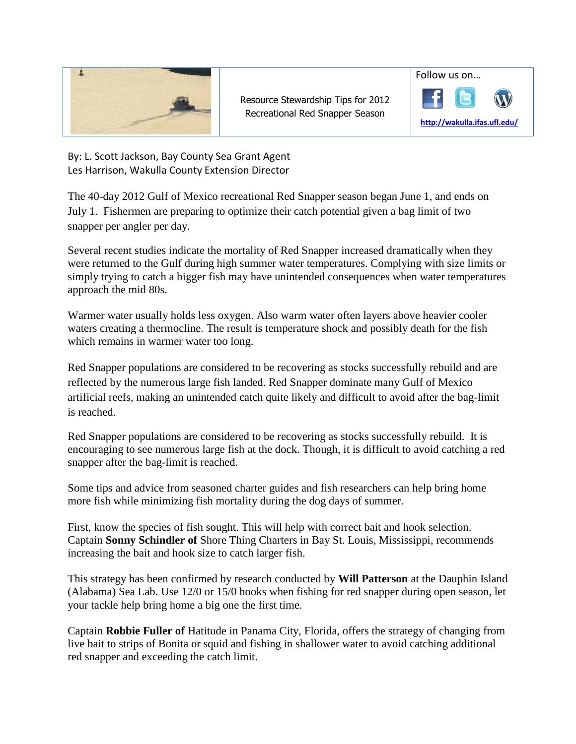

Resource Stewardship Tips for 2012 Recreational Red Snapper Season



By: L. Scott Jackson, Bay County Sea Grant Agent Les Harrison, Wakulla County Extension Director

The 40-day 2012 Gulf of Mexico recreational Red Snapper season began June 1, and ends on July 1. Fishermen are preparing to optimize their catch potential given a bag limit of two snapper per angler per day.

Several recent studies indicate the mortality of Red Snapper increased dramatically when they were returned to the Gulf during high summer water temperatures. Complying with size limits or simply trying to catch a bigger fish may have unintended consequences when water temperatures approach the mid 80s.

Warmer water usually holds less oxygen. Also warm water often layers above heavier cooler waters creating a thermocline. The result is temperature shock and possibly death for the fish which remains in warmer water too long.

Red Snapper populations are considered to be recovering as stocks successfully rebuild and are reflected by the numerous large fish landed. Red Snapper dominate many Gulf of Mexico artificial reefs, making an unintended catch quite likely and difficult to avoid after the bag-limit is reached.

Red Snapper populations are considered to be recovering as stocks successfully rebuild. It is encouraging to see numerous large fish at the dock. Though, it is difficult to avoid catching a red snapper after the bag-limit is reached.

Some tips and advice from seasoned charter guides and fish researchers can help bring home more fish while minimizing fish mortality during the dog days of summer.

First, know the species of fish sought. This will help with correct bait and hook selection. Captain **Sonny Schindler of** Shore Thing Charters in Bay St. Louis, Mississippi, recommends increasing the bait and hook size to catch larger fish.

This strategy has been confirmed by research conducted by **Will Patterson** at the Dauphin Island (Alabama) Sea Lab. Use 12/0 or 15/0 hooks when fishing for red snapper during open season, let your tackle help bring home a big one the first time.

Captain **Robbie Fuller of** Hatitude in Panama City, Florida, offers the strategy of changing from live bait to strips of Bonita or squid and fishing in shallower water to avoid catching additional red snapper and exceeding the catch limit.